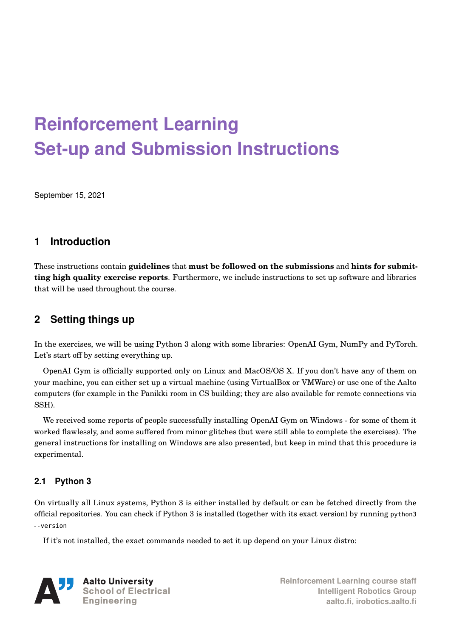# **Reinforcement Learning Set-up and Submission Instructions**

September 15, 2021

# **1 Introduction**

These instructions contain **guidelines** that **must be followed on the submissions** and **hints for submitting high quality exercise reports**. Furthermore, we include instructions to set up software and libraries that will be used throughout the course.

# **2 Setting things up**

In the exercises, we will be using Python 3 along with some libraries: OpenAI Gym, NumPy and PyTorch. Let's start off by setting everything up.

OpenAI Gym is officially supported only on Linux and MacOS/OS X. If you don't have any of them on your machine, you can either set up a virtual machine (using VirtualBox or VMWare) or use one of the Aalto computers (for example in the Panikki room in CS building; they are also available for remote connections via SSH).

We received some reports of people successfully installing OpenAI Gym on Windows - for some of them it worked flawlessly, and some suffered from minor glitches (but were still able to complete the exercises). The general instructions for installing on Windows are also presented, but keep in mind that this procedure is experimental.

# **2.1 Python 3**

On virtually all Linux systems, Python 3 is either installed by default or can be fetched directly from the official repositories. You can check if Python 3 is installed (together with its exact version) by running python3 --version

If it's not installed, the exact commands needed to set it up depend on your Linux distro:



**Reinforcement Learning course staff Intelligent Robotics Group aalto.fi, irobotics.aalto.fi**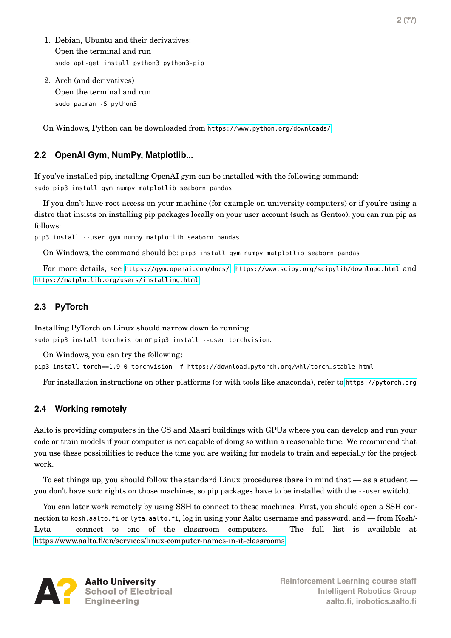- 1. Debian, Ubuntu and their derivatives: Open the terminal and run sudo apt-get install python3 python3-pip
- 2. Arch (and derivatives) Open the terminal and run sudo pacman -S python3

On Windows, Python can be downloaded from <https://www.python.org/downloads/>

#### **2.2 OpenAI Gym, NumPy, Matplotlib...**

If you've installed pip, installing OpenAI gym can be installed with the following command: sudo pip3 install gym numpy matplotlib seaborn pandas

If you don't have root access on your machine (for example on university computers) or if you're using a distro that insists on installing pip packages locally on your user account (such as Gentoo), you can run pip as follows:

pip3 install --user gym numpy matplotlib seaborn pandas

On Windows, the command should be: pip3 install gym numpy matplotlib seaborn pandas

For more details, see <https://gym.openai.com/docs/>, <https://www.scipy.org/scipylib/download.html> and <https://matplotlib.org/users/installing.html>.

## **2.3 PyTorch**

Installing PyTorch on Linux should narrow down to running sudo pip3 install torchvision or pip3 install --user torchvision.

On Windows, you can try the following:

pip3 install torch==1.9.0 torchvision -f https://download.pytorch.org/whl/torch\_stable.html

For installation instructions on other platforms (or with tools like anaconda), refer to <https://pytorch.org>

#### **2.4 Working remotely**

Aalto is providing computers in the CS and Maari buildings with GPUs where you can develop and run your code or train models if your computer is not capable of doing so within a reasonable time. We recommend that you use these possibilities to reduce the time you are waiting for models to train and especially for the project work.

To set things up, you should follow the standard Linux procedures (bare in mind that — as a student you don't have sudo rights on those machines, so pip packages have to be installed with the --user switch).

You can later work remotely by using SSH to connect to these machines. First, you should open a SSH connection to kosh.aalto.fi or lyta.aalto.fi, log in using your Aalto username and password, and — from Kosh/- Lyta — connect to one of the classroom computers. The full list is available at [https://www.aalto.fi/en/services/linux-computer-names-in-it-classrooms.](https://www.aalto.fi/en/services/linux-computer-names-in-it-classrooms)

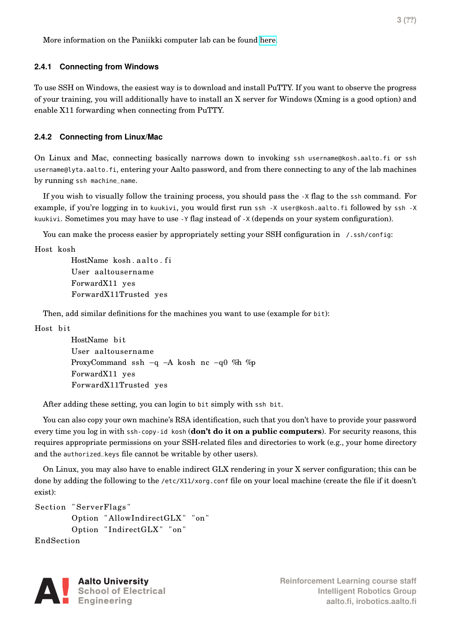More information on the Paniikki computer lab can be found [here.](https://scicomp.aalto.fi/aalto/paniikki/)

#### **2.4.1 Connecting from Windows**

To use SSH on Windows, the easiest way is to download and install PuTTY. If you want to observe the progress of your training, you will additionally have to install an X server for Windows (Xming is a good option) and enable X11 forwarding when connecting from PuTTY.

#### **2.4.2 Connecting from Linux/Mac**

On Linux and Mac, connecting basically narrows down to invoking ssh username@kosh.aalto.fi or ssh username@lyta.aalto.fi, entering your Aalto password, and from there connecting to any of the lab machines by running ssh machine\_name.

If you wish to visually follow the training process, you should pass the -X flag to the ssh command. For example, if you're logging in to kuukivi, you would first run ssh -X user@kosh.aalto.fi followed by ssh -X kuukivi. Sometimes you may have to use -Y flag instead of -X (depends on your system configuration).

You can make the process easier by appropriately setting your SSH configuration in /.ssh/config:

Host kosh

HostName kosh.aalto.fi User aaltousername ForwardX11 yes ForwardX11Trusted yes

Then, add similar definitions for the machines you want to use (example for bit):

Host bit

HostName bit User aaltousername ProxyCommand ssh −q −A kosh nc −q0 %h %p ForwardX11 yes ForwardX11Trusted yes

After adding these setting, you can login to bit simply with ssh bit.

You can also copy your own machine's RSA identification, such that you don't have to provide your password every time you log in with ssh-copy-id kosh (**don't do it on a public computers**). For security reasons, this requires appropriate permissions on your SSH-related files and directories to work (e.g., your home directory and the authorized\_keys file cannot be writable by other users).

On Linux, you may also have to enable indirect GLX rendering in your X server configuration; this can be done by adding the following to the /etc/X11/xorg.conf file on your local machine (create the file if it doesn't exist):

```
Section "ServerFlags"
Option "AllowIndirectGLX" "on"
```

```
Option "IndirectGLX" "on"
```
EndSection

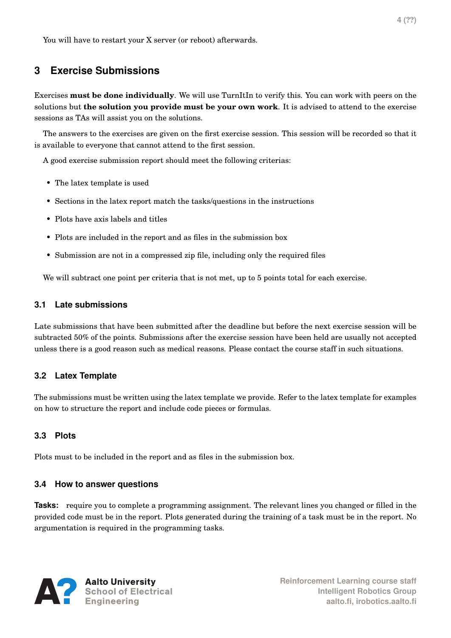# **3 Exercise Submissions**

Exercises **must be done individually**. We will use TurnItIn to verify this. You can work with peers on the solutions but **the solution you provide must be your own work**. It is advised to attend to the exercise sessions as TAs will assist you on the solutions.

The answers to the exercises are given on the first exercise session. This session will be recorded so that it is available to everyone that cannot attend to the first session.

A good exercise submission report should meet the following criterias:

- The latex template is used
- Sections in the latex report match the tasks/questions in the instructions
- Plots have axis labels and titles
- Plots are included in the report and as files in the submission box
- Submission are not in a compressed zip file, including only the required files

We will subtract one point per criteria that is not met, up to 5 points total for each exercise.

#### **3.1 Late submissions**

Late submissions that have been submitted after the deadline but before the next exercise session will be subtracted 50% of the points. Submissions after the exercise session have been held are usually not accepted unless there is a good reason such as medical reasons. Please contact the course staff in such situations.

## **3.2 Latex Template**

The submissions must be written using the latex template we provide. Refer to the latex template for examples on how to structure the report and include code pieces or formulas.

## **3.3 Plots**

Plots must to be included in the report and as files in the submission box.

## **3.4 How to answer questions**

**Tasks:** require you to complete a programming assignment. The relevant lines you changed or filled in the provided code must be in the report. Plots generated during the training of a task must be in the report. No argumentation is required in the programming tasks.